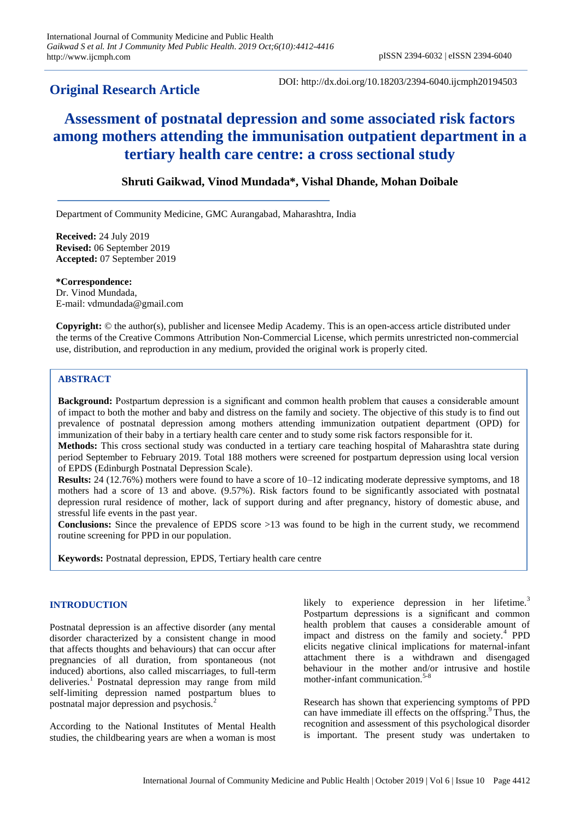# **Original Research Article**

DOI: http://dx.doi.org/10.18203/2394-6040.ijcmph20194503

# **Assessment of postnatal depression and some associated risk factors among mothers attending the immunisation outpatient department in a tertiary health care centre: a cross sectional study**

# **Shruti Gaikwad, Vinod Mundada\*, Vishal Dhande, Mohan Doibale**

Department of Community Medicine, GMC Aurangabad, Maharashtra, India

**Received:** 24 July 2019 **Revised:** 06 September 2019 **Accepted:** 07 September 2019

**\*Correspondence:** Dr. Vinod Mundada, E-mail: vdmundada@gmail.com

**Copyright:** © the author(s), publisher and licensee Medip Academy. This is an open-access article distributed under the terms of the Creative Commons Attribution Non-Commercial License, which permits unrestricted non-commercial use, distribution, and reproduction in any medium, provided the original work is properly cited.

# **ABSTRACT**

**Background:** Postpartum depression is a significant and common health problem that causes a considerable amount of impact to both the mother and baby and distress on the family and society. The objective of this study is to find out prevalence of postnatal depression among mothers attending immunization outpatient department (OPD) for immunization of their baby in a tertiary health care center and to study some risk factors responsible for it.

**Methods:** This cross sectional study was conducted in a tertiary care teaching hospital of Maharashtra state during period September to February 2019. Total 188 mothers were screened for postpartum depression using local version of EPDS (Edinburgh Postnatal Depression Scale).

**Results:** 24 (12.76%) mothers were found to have a score of 10–12 indicating moderate depressive symptoms, and 18 mothers had a score of 13 and above. (9.57%). Risk factors found to be significantly associated with postnatal depression rural residence of mother, lack of support during and after pregnancy, history of domestic abuse, and stressful life events in the past year.

**Conclusions:** Since the prevalence of EPDS score >13 was found to be high in the current study, we recommend routine screening for PPD in our population.

**Keywords:** Postnatal depression, EPDS, Tertiary health care centre

# **INTRODUCTION**

Postnatal depression is an affective disorder (any mental disorder characterized by a consistent change in mood that affects thoughts and behaviours) that can occur after pregnancies of all duration, from spontaneous (not induced) abortions, also called miscarriages, to full-term deliveries.<sup>1</sup> Postnatal depression may range from mild self-limiting depression named postpartum blues to postnatal major depression and psychosis.<sup>2</sup>

According to the National Institutes of Mental Health studies, the childbearing years are when a woman is most likely to experience depression in her lifetime.<sup>3</sup> Postpartum depressions is a significant and common health problem that causes a considerable amount of impact and distress on the family and society.<sup>4</sup> PPD elicits negative clinical implications for maternal-infant attachment there is a withdrawn and disengaged behaviour in the mother and/or intrusive and hostile mother-infant communication.<sup>5-8</sup>

Research has shown that experiencing symptoms of PPD can have immediate ill effects on the offspring.<sup>9</sup> Thus, the recognition and assessment of this psychological disorder is important. The present study was undertaken to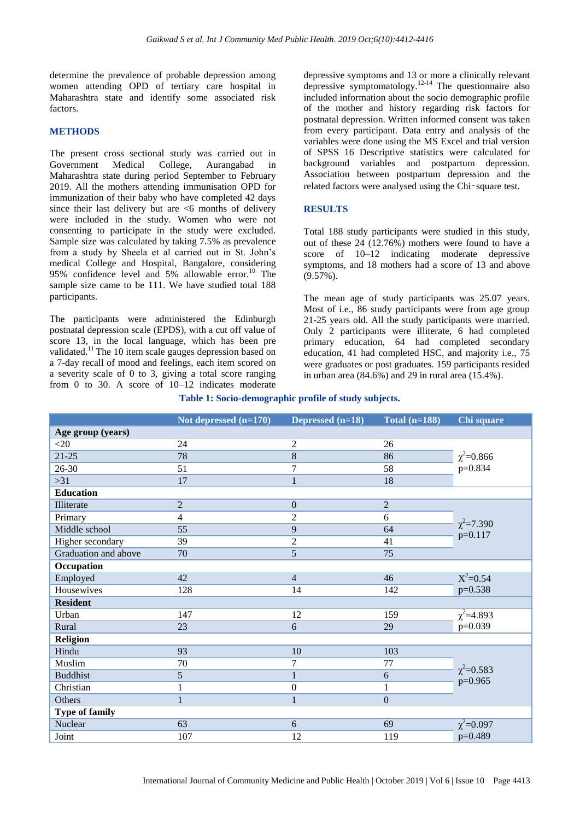determine the prevalence of probable depression among women attending OPD of tertiary care hospital in Maharashtra state and identify some associated risk factors.

## **METHODS**

The present cross sectional study was carried out in Government Medical College, Aurangabad in Maharashtra state during period September to February 2019. All the mothers attending immunisation OPD for immunization of their baby who have completed 42 days since their last delivery but are  $\leq 6$  months of delivery were included in the study. Women who were not consenting to participate in the study were excluded. Sample size was calculated by taking 7.5% as prevalence from a study by Sheela et al carried out in St. John's medical College and Hospital, Bangalore, considering 95% confidence level and 5% allowable error.<sup>10</sup> The sample size came to be 111. We have studied total 188 participants.

The participants were administered the Edinburgh postnatal depression scale (EPDS), with a cut off value of score 13, in the local language, which has been pre validated.<sup>11</sup> The 10 item scale gauges depression based on a 7-day recall of mood and feelings, each item scored on a severity scale of 0 to 3, giving a total score ranging from 0 to 30. A score of  $10-12$  indicates moderate depressive symptoms and 13 or more a clinically relevant depressive symptomatology.<sup>12-14</sup> The questionnaire also included information about the socio demographic profile of the mother and history regarding risk factors for postnatal depression. Written informed consent was taken from every participant. Data entry and analysis of the variables were done using the MS Excel and trial version of SPSS 16 Descriptive statistics were calculated for background variables and postpartum depression. Association between postpartum depression and the related factors were analysed using the Chi-square test.

## **RESULTS**

Total 188 study participants were studied in this study, out of these 24 (12.76%) mothers were found to have a score of 10–12 indicating moderate depressive symptoms, and 18 mothers had a score of 13 and above (9.57%).

The mean age of study participants was 25.07 years. Most of i.e., 86 study participants were from age group 21-25 years old. All the study participants were married. Only 2 participants were illiterate, 6 had completed primary education, 64 had completed secondary education, 41 had completed HSC, and majority i.e., 75 were graduates or post graduates. 159 participants resided in urban area (84.6%) and 29 in rural area (15.4%).

|                       | Not depressed (n=170) | Depressed (n=18) | Total $(n=188)$  | Chi square                   |
|-----------------------|-----------------------|------------------|------------------|------------------------------|
| Age group (years)     |                       |                  |                  |                              |
| $<$ 20                | 24                    | $\overline{2}$   | 26               | $\chi^2$ =0.866<br>p=0.834   |
| $21 - 25$             | 78                    | 8                | 86               |                              |
| 26-30                 | 51                    | $\overline{7}$   | 58               |                              |
| $>31$                 | 17                    | $\mathbf{1}$     | 18               |                              |
| <b>Education</b>      |                       |                  |                  |                              |
| Illiterate            | $\overline{2}$        | $\overline{0}$   | $\overline{2}$   | $\chi^2$ =7.390<br>$p=0.117$ |
| Primary               | $\overline{4}$        | $\overline{2}$   | 6                |                              |
| Middle school         | 55                    | 9                | 64               |                              |
| Higher secondary      | 39                    | $\overline{2}$   | 41               |                              |
| Graduation and above  | 70                    | 5                | 75               |                              |
| Occupation            |                       |                  |                  |                              |
| Employed              | 42                    | $\overline{4}$   | 46               | $X^2 = 0.54$                 |
| Housewives            | 128                   | 14               | 142              | $p=0.538$                    |
| <b>Resident</b>       |                       |                  |                  |                              |
| Urban                 | 147                   | 12               | 159              | $\chi^2 = 4.893$             |
| Rural                 | 23                    | 6                | 29               | $p=0.039$                    |
| <b>Religion</b>       |                       |                  |                  |                              |
| Hindu                 | 93                    | $\overline{10}$  | 103              | $\chi^2$ =0.583<br>$p=0.965$ |
| Muslim                | 70                    | 7                | 77               |                              |
| <b>Buddhist</b>       | 5                     | $\mathbf{1}$     | 6                |                              |
| Christian             | 1                     | $\boldsymbol{0}$ | $\mathbf{1}$     |                              |
| Others                | 1                     | $\mathbf{1}$     | $\boldsymbol{0}$ |                              |
| <b>Type of family</b> |                       |                  |                  |                              |
| Nuclear               | 63                    | 6                | 69               | $\chi^2$ =0.097              |
| Joint                 | 107                   | 12               | 119              | p=0.489                      |

#### **Table 1: Socio-demographic profile of study subjects.**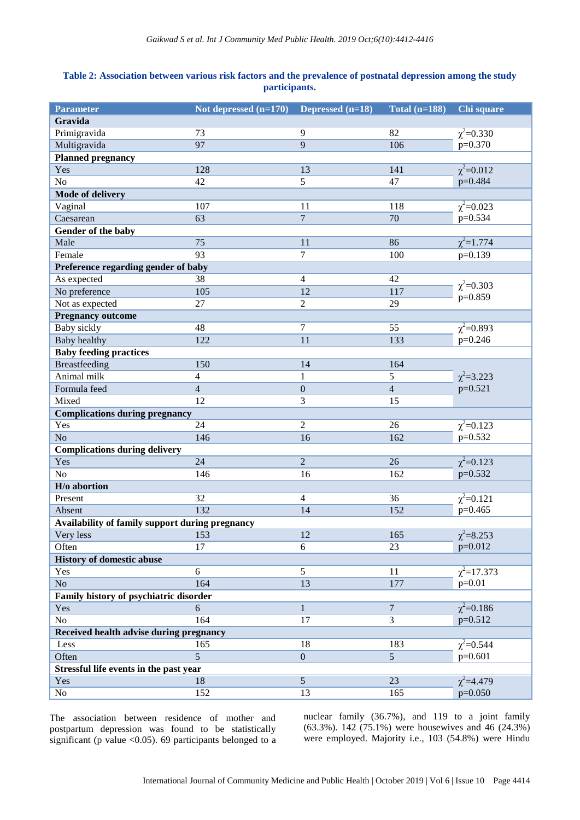# **Table 2: Association between various risk factors and the prevalence of postnatal depression among the study participants.**

| <b>Parameter</b>                                | Not depressed $(n=170)$ | Depressed (n=18) | Total $(n=188)$ | Chi square                   |  |  |  |
|-------------------------------------------------|-------------------------|------------------|-----------------|------------------------------|--|--|--|
| Gravida                                         |                         |                  |                 |                              |  |  |  |
| Primigravida                                    | 73                      | 9                | 82              | $\chi^2 = 0.330$             |  |  |  |
| Multigravida                                    | 97                      | 9                | 106             | p=0.370                      |  |  |  |
| <b>Planned pregnancy</b>                        |                         |                  |                 |                              |  |  |  |
| Yes                                             | 128                     | 13               | 141             | $\chi^2 = 0.012$             |  |  |  |
| No                                              | 42                      | 5                | 47              | p=0.484                      |  |  |  |
| <b>Mode of delivery</b>                         |                         |                  |                 |                              |  |  |  |
| Vaginal                                         | 107                     | 11               | 118             | $\chi^2 = 0.023$             |  |  |  |
| Caesarean                                       | 63                      | $\overline{7}$   | 70              | p=0.534                      |  |  |  |
| Gender of the baby                              |                         |                  |                 |                              |  |  |  |
| Male                                            | 75                      | 11               | 86              | $\chi^2 = 1.774$             |  |  |  |
| Female                                          | 93                      | 7                | 100             | $p=0.139$                    |  |  |  |
| Preference regarding gender of baby             |                         |                  |                 |                              |  |  |  |
| As expected                                     | 38                      | $\overline{4}$   | 42              |                              |  |  |  |
| No preference                                   | 105                     | 12               | 117             | $\chi^2$ =0.303<br>$p=0.859$ |  |  |  |
| Not as expected                                 | 27                      | $\overline{2}$   | 29              |                              |  |  |  |
| <b>Pregnancy outcome</b>                        |                         |                  |                 |                              |  |  |  |
| <b>Baby sickly</b>                              | 48                      | 7                | 55              | $\chi^2$ =0.893              |  |  |  |
| <b>Baby healthy</b>                             | 122                     | 11               | 133             | $p=0.246$                    |  |  |  |
| <b>Baby feeding practices</b>                   |                         |                  |                 |                              |  |  |  |
| <b>Breastfeeding</b>                            | 150                     | 14               | 164             |                              |  |  |  |
| Animal milk                                     | $\overline{4}$          | $\mathbf{1}$     | 5               | $\chi^2 = 3.223$             |  |  |  |
| Formula feed                                    | $\overline{4}$          | $\boldsymbol{0}$ | $\overline{4}$  | $p=0.521$                    |  |  |  |
| Mixed                                           | 12                      | 3                | 15              |                              |  |  |  |
| <b>Complications during pregnancy</b>           |                         |                  |                 |                              |  |  |  |
| Yes                                             | 24                      | $\overline{2}$   | 26              | $\chi^2 = 0.123$             |  |  |  |
| N <sub>o</sub>                                  | 146                     | 16               | 162             | p=0.532                      |  |  |  |
| <b>Complications during delivery</b>            |                         |                  |                 |                              |  |  |  |
| Yes                                             | 24                      | $\overline{2}$   | 26              | $\chi^2 = 0.123$             |  |  |  |
| No                                              | 146                     | 16               | 162             | $p=0.532$                    |  |  |  |
| H/o abortion                                    |                         |                  |                 |                              |  |  |  |
| Present                                         | 32                      | $\overline{4}$   | 36              | $\chi^2 = 0.121$             |  |  |  |
| Absent                                          | 132                     | 14               | 152             | $p=0.465$                    |  |  |  |
| Availability of family support during pregnancy |                         |                  |                 |                              |  |  |  |
| Very less                                       | 153                     | 12               | 165             | $\chi^2 = 8.253$             |  |  |  |
| Often                                           | 17                      | 6                | 23              | $p=0.012$                    |  |  |  |
| <b>History of domestic abuse</b>                |                         |                  |                 |                              |  |  |  |
| Yes                                             | 6                       | 5                | 11              | $\chi^2$ =17.373             |  |  |  |
| N <sub>o</sub>                                  | 164                     | 13               | 177             | $p=0.01$                     |  |  |  |
| Family history of psychiatric disorder          |                         |                  |                 |                              |  |  |  |
| Yes                                             | 6                       | $\mathbf{1}$     | $\overline{7}$  | $\chi^2 = 0.186$             |  |  |  |
| No                                              | 164                     | 17               | $\overline{3}$  | $p=0.512$                    |  |  |  |
| Received health advise during pregnancy         |                         |                  |                 |                              |  |  |  |
| Less                                            | 165                     | 18               | 183             | $\chi^2 = 0.544$             |  |  |  |
| Often                                           | $\overline{5}$          | $\overline{0}$   | $\overline{5}$  | $p=0.601$                    |  |  |  |
| Stressful life events in the past year          |                         |                  |                 |                              |  |  |  |
| Yes                                             | 18                      | $\overline{5}$   | 23              | $\chi^2 = 4.479$             |  |  |  |
| No                                              | 152                     | 13               | 165             | $p=0.050$                    |  |  |  |

The association between residence of mother and postpartum depression was found to be statistically significant (p value  $\langle 0.05 \rangle$ . 69 participants belonged to a nuclear family (36.7%), and 119 to a joint family (63.3%). 142 (75.1%) were housewives and 46 (24.3%) were employed. Majority i.e., 103 (54.8%) were Hindu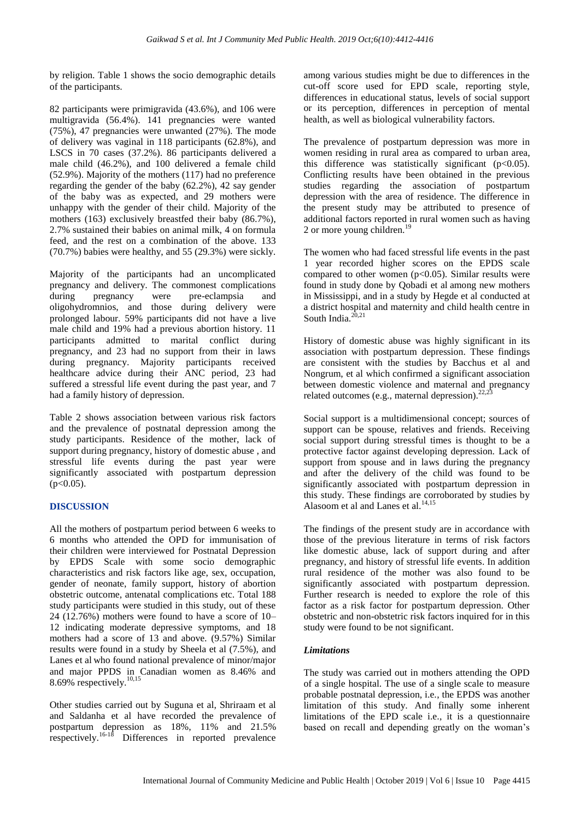by religion. Table 1 shows the socio demographic details of the participants.

82 participants were primigravida (43.6%), and 106 were multigravida (56.4%). 141 pregnancies were wanted (75%), 47 pregnancies were unwanted (27%). The mode of delivery was vaginal in 118 participants (62.8%), and LSCS in 70 cases (37.2%). 86 participants delivered a male child (46.2%), and 100 delivered a female child (52.9%). Majority of the mothers (117) had no preference regarding the gender of the baby (62.2%), 42 say gender of the baby was as expected, and 29 mothers were unhappy with the gender of their child. Majority of the mothers (163) exclusively breastfed their baby (86.7%), 2.7% sustained their babies on animal milk, 4 on formula feed, and the rest on a combination of the above. 133 (70.7%) babies were healthy, and 55 (29.3%) were sickly.

Majority of the participants had an uncomplicated pregnancy and delivery. The commonest complications<br>during pregnancy were pre-eclampsia and during pregnancy were pre-eclampsia and oligohydromnios, and those during delivery were prolonged labour. 59% participants did not have a live male child and 19% had a previous abortion history. 11 participants admitted to marital conflict during pregnancy, and 23 had no support from their in laws during pregnancy. Majority participants received healthcare advice during their ANC period, 23 had suffered a stressful life event during the past year, and 7 had a family history of depression.

Table 2 shows association between various risk factors and the prevalence of postnatal depression among the study participants. Residence of the mother, lack of support during pregnancy, history of domestic abuse , and stressful life events during the past year were significantly associated with postpartum depression  $(p<0.05)$ .

# **DISCUSSION**

All the mothers of postpartum period between 6 weeks to 6 months who attended the OPD for immunisation of their children were interviewed for Postnatal Depression by EPDS Scale with some socio demographic characteristics and risk factors like age, sex, occupation, gender of neonate, family support, history of abortion obstetric outcome, antenatal complications etc. Total 188 study participants were studied in this study, out of these 24 (12.76%) mothers were found to have a score of 10– 12 indicating moderate depressive symptoms, and 18 mothers had a score of 13 and above. (9.57%) Similar results were found in a study by Sheela et al (7.5%), and Lanes et al who found national prevalence of minor/major and major PPDS in Canadian women as 8.46% and 8.69% respectively. $10,15$ 

Other studies carried out by Suguna et al, Shriraam et al and Saldanha et al have recorded the prevalence of postpartum depression as 18%, 11% and 21.5% respectively.<sup>16-18</sup> Differences in reported prevalence among various studies might be due to differences in the cut-off score used for EPD scale, reporting style, differences in educational status, levels of social support or its perception, differences in perception of mental health, as well as biological vulnerability factors.

The prevalence of postpartum depression was more in women residing in rural area as compared to urban area, this difference was statistically significant  $(p<0.05)$ . Conflicting results have been obtained in the previous studies regarding the association of postpartum depression with the area of residence. The difference in the present study may be attributed to presence of additional factors reported in rural women such as having 2 or more young children.<sup>19</sup>

The women who had faced stressful life events in the past 1 year recorded higher scores on the EPDS scale compared to other women  $(p<0.05)$ . Similar results were found in study done by Qobadi et al among new mothers in Mississippi, and in a study by Hegde et al conducted at a district hospital and maternity and child health centre in South India. $\frac{2}{3}$ 

History of domestic abuse was highly significant in its association with postpartum depression. These findings are consistent with the studies by Bacchus et al and Nongrum, et al which confirmed a significant association between domestic violence and maternal and pregnancy related outcomes (e.g., maternal depression). $^{22}$ 

Social support is a multidimensional concept; sources of support can be spouse, relatives and friends. Receiving social support during stressful times is thought to be a protective factor against developing depression. Lack of support from spouse and in laws during the pregnancy and after the delivery of the child was found to be significantly associated with postpartum depression in this study. These findings are corroborated by studies by Alasoom et al and Lanes et al. $14,15$ 

The findings of the present study are in accordance with those of the previous literature in terms of risk factors like domestic abuse, lack of support during and after pregnancy, and history of stressful life events. In addition rural residence of the mother was also found to be significantly associated with postpartum depression. Further research is needed to explore the role of this factor as a risk factor for postpartum depression. Other obstetric and non-obstetric risk factors inquired for in this study were found to be not significant.

# *Limitations*

The study was carried out in mothers attending the OPD of a single hospital. The use of a single scale to measure probable postnatal depression, i.e., the EPDS was another limitation of this study. And finally some inherent limitations of the EPD scale i.e., it is a questionnaire based on recall and depending greatly on the woman's